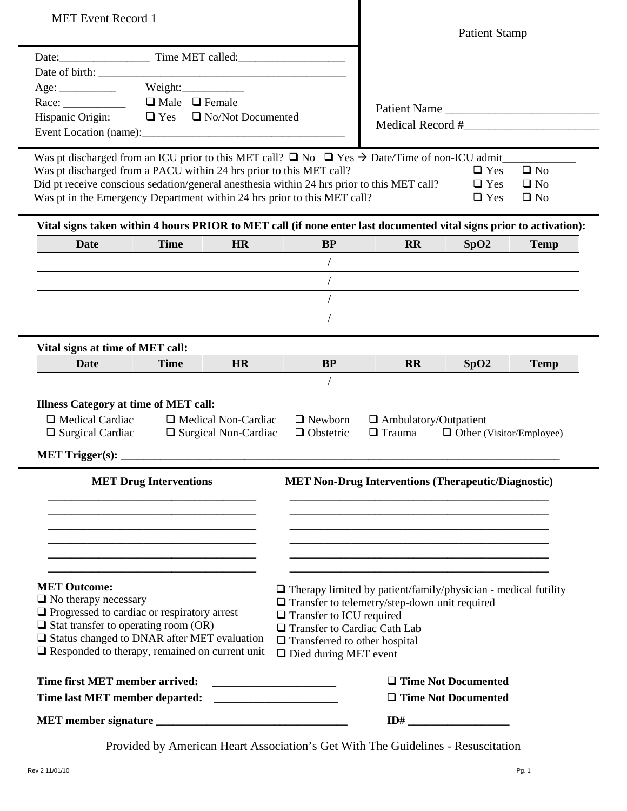| <b>MET</b> Event Record 1                                                                                                                                                                                                                                                                                                                                            |                                                      |                                                           |                                                            | <b>Patient Stamp</b>                          |                                        |                                           |  |
|----------------------------------------------------------------------------------------------------------------------------------------------------------------------------------------------------------------------------------------------------------------------------------------------------------------------------------------------------------------------|------------------------------------------------------|-----------------------------------------------------------|------------------------------------------------------------|-----------------------------------------------|----------------------------------------|-------------------------------------------|--|
|                                                                                                                                                                                                                                                                                                                                                                      |                                                      |                                                           |                                                            |                                               |                                        |                                           |  |
|                                                                                                                                                                                                                                                                                                                                                                      |                                                      |                                                           |                                                            |                                               |                                        |                                           |  |
|                                                                                                                                                                                                                                                                                                                                                                      |                                                      |                                                           |                                                            |                                               |                                        |                                           |  |
|                                                                                                                                                                                                                                                                                                                                                                      | Age: Weight: Weight: Race: UMale I Female            |                                                           |                                                            | Patient Name                                  |                                        |                                           |  |
|                                                                                                                                                                                                                                                                                                                                                                      | Hispanic Origin: $\Box$ Yes $\Box$ No/Not Documented |                                                           |                                                            |                                               | Medical Record #                       |                                           |  |
|                                                                                                                                                                                                                                                                                                                                                                      |                                                      |                                                           |                                                            |                                               |                                        |                                           |  |
| Was pt discharged from an ICU prior to this MET call? $\Box$ No $\Box$ Yes $\rightarrow$ Date/Time of non-ICU admit<br>Was pt discharged from a PACU within 24 hrs prior to this MET call?<br>Did pt receive conscious sedation/general anesthesia within 24 hrs prior to this MET call?<br>Was pt in the Emergency Department within 24 hrs prior to this MET call? |                                                      |                                                           |                                                            |                                               | $\Box$ Yes<br>$\Box$ Yes<br>$\Box$ Yes | $\Box$ No<br>$\square$ No<br>$\square$ No |  |
| Vital signs taken within 4 hours PRIOR to MET call (if none enter last documented vital signs prior to activation):                                                                                                                                                                                                                                                  |                                                      |                                                           |                                                            |                                               |                                        |                                           |  |
| <b>Date</b>                                                                                                                                                                                                                                                                                                                                                          | <b>Time</b>                                          | HR                                                        | <b>BP</b>                                                  | <b>RR</b>                                     | SpO2                                   | <b>Temp</b>                               |  |
|                                                                                                                                                                                                                                                                                                                                                                      |                                                      |                                                           |                                                            |                                               |                                        |                                           |  |
|                                                                                                                                                                                                                                                                                                                                                                      |                                                      |                                                           |                                                            |                                               |                                        |                                           |  |
|                                                                                                                                                                                                                                                                                                                                                                      |                                                      |                                                           |                                                            |                                               |                                        |                                           |  |
|                                                                                                                                                                                                                                                                                                                                                                      |                                                      |                                                           |                                                            |                                               |                                        |                                           |  |
|                                                                                                                                                                                                                                                                                                                                                                      |                                                      |                                                           |                                                            |                                               |                                        |                                           |  |
| Vital signs at time of MET call:                                                                                                                                                                                                                                                                                                                                     |                                                      |                                                           |                                                            |                                               |                                        |                                           |  |
| <b>Date</b>                                                                                                                                                                                                                                                                                                                                                          | <b>Time</b>                                          | HR                                                        | <b>BP</b>                                                  | <b>RR</b>                                     | SpO2                                   | <b>Temp</b>                               |  |
|                                                                                                                                                                                                                                                                                                                                                                      |                                                      |                                                           |                                                            |                                               |                                        |                                           |  |
| <b>Illness Category at time of MET call:</b><br>$\Box$ Medical Cardiac<br>$\Box$ Surgical Cardiac                                                                                                                                                                                                                                                                    |                                                      | $\Box$ Medical Non-Cardiac<br>$\Box$ Surgical Non-Cardiac | $\Box$ Newborn<br>$\Box$ Obstetric                         | $\Box$ Ambulatory/Outpatient<br>$\Box$ Trauma | □ Other (Visitor/Employee)             |                                           |  |
| <b>MET Trigger(s):</b>                                                                                                                                                                                                                                                                                                                                               |                                                      |                                                           |                                                            |                                               |                                        |                                           |  |
| <b>MET Drug Interventions</b>                                                                                                                                                                                                                                                                                                                                        |                                                      |                                                           | <b>MET Non-Drug Interventions (Therapeutic/Diagnostic)</b> |                                               |                                        |                                           |  |
|                                                                                                                                                                                                                                                                                                                                                                      |                                                      |                                                           |                                                            |                                               |                                        |                                           |  |
|                                                                                                                                                                                                                                                                                                                                                                      |                                                      |                                                           |                                                            |                                               |                                        |                                           |  |
|                                                                                                                                                                                                                                                                                                                                                                      |                                                      |                                                           |                                                            |                                               |                                        |                                           |  |

## **MET Outcome:**

- $\Box$  No therapy necessary
- **Q** Progressed to cardiac or respiratory arrest
- $\Box$  Stat transfer to operating room (OR)
- $\square$  Status changed to DNAR after MET evaluation

**\_\_\_\_\_\_\_\_\_\_\_\_\_\_\_\_\_\_\_\_\_\_\_\_\_\_\_\_\_\_\_\_\_\_\_\_\_ \_\_\_\_\_\_\_\_\_\_\_\_\_\_\_\_\_\_\_\_\_\_\_\_\_\_\_\_\_\_\_\_\_\_\_\_\_** 

Responded to therapy, remained on current unit

| Time first MET member arrived: | $\Box$ Time Not Documented |
|--------------------------------|----------------------------|
| Time last MET member departed: | $\Box$ Time Not Documented |
| <b>MET</b> member signature    | ID#                        |

Provided by American Heart Association's Get With The Guidelines - Resuscitation

**\_\_\_\_\_\_\_\_\_\_\_\_\_\_\_\_\_\_\_\_\_\_\_\_\_\_\_\_\_\_\_\_\_\_\_\_\_\_\_\_\_\_\_\_\_\_ \_\_\_\_\_\_\_\_\_\_\_\_\_\_\_\_\_\_\_\_\_\_\_\_\_\_\_\_\_\_\_\_\_\_\_\_\_\_\_\_\_\_\_\_\_\_** 

Therapy limited by patient/family/physician - medical futility

**Transfer to telemetry/step-down unit required** 

**Transfer to ICU required**  Transfer to Cardiac Cath Lab  $\Box$  Transferred to other hospital Died during MET event